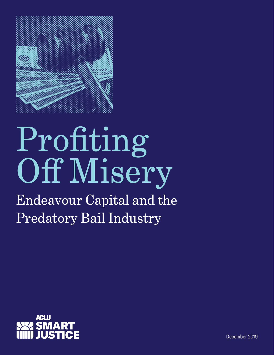

# Profiting Off Misery

Endeavour Capital and the Predatory Bail Industry



December 2019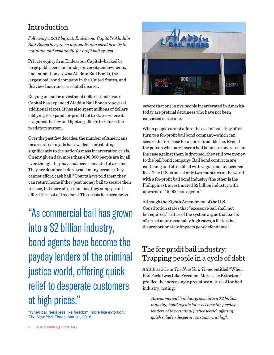### Introduction

*Following a 2012 buyout, Endeavour Capital's Aladdin Bail Bonds has grown nationally and spent heavily to maintain and expand the for-profit bail system.*

Private equity firm Endeavour Capital—backed by large public pension funds, university endowments, and foundations—owns Aladdin Bail Bonds, the largest bail bond company in the United States, and Seaview Insurance, a related insurer.

Relying on public investment dollars, Endeavour Capital has expanded Aladdin Bail Bonds to several additional states. It has also spent millions of dollars lobbying to expand for-profit bail to states where it is against the law and fighting efforts to reform the predatory system.

Over the past few decades, the number of Americans incarcerated in jails has swelled, contributing significantly to the nation's mass incarceration crisis. On any given day, more than 400,000 people are in jail even though they have not been convicted of a crime. They are detained before trial,<sup>1</sup> many because they cannot afford cash bail.<sup>2</sup> Courts have told them they can return home if they post money bail to secure their release, but more often than not, they simply can't afford the cost of freedom.3 This crisis has become so

"As commercial bail has grown into a \$2 billion industry, bond agents have become the payday lenders of the criminal justice world, offering quick relief to desperate customers at high prices."

["When bail feels less like freedom, more like extortion,"](https://www.nytimes.com/2018/03/31/us/bail-bonds-extortion.html)  *[The New York Times](https://www.nytimes.com/2018/03/31/us/bail-bonds-extortion.html)*, Mar 31, 2018.



severe that one in five people incarcerated in America today are pretrial detainees who have not been convicted of a crime.

When people cannot afford the cost of bail, they often turn to a for-profit bail bond company—which can secure their release for a nonrefundable fee. Even if the person who purchases a bail bond is exonerated or the case against them is dropped, they still owe money to the bail bond company. Bail bond contracts are confusing and often filled with vague and unspecified fees. The U.S. is one of only two countries in the world with a for-profit bail bond industry (the other is the Philippines), an estimated \$2 billion industry with upwards of 15,000 bail agents.4

Although the Eighth Amendment of the U.S. Constitution states that "excessive bail shall not be required," critics of the system argue that bail is often set at unreasonably high rates, a factor that disproportionately impacts poor defendants.<sup>5</sup>

## The for-profit bail industry: Trapping people in a cycle of debt

A 2018 article in *The New York Times* entitled "When Bail Feels Less Like Freedom, More Like Extortion" profiled the increasingly predatory nature of the bail industry, noting:

 *As commercial bail has grown into a \$2 billion industry, bond agents have become the payday lenders of the criminal justice world, offering quick relief to desperate customers at high*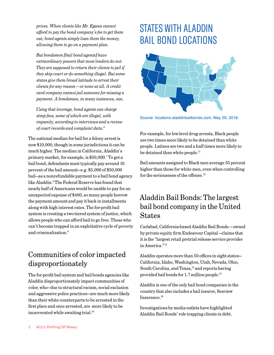*prices. When clients like Mr. Egana cannot afford to pay the bond company's fee to get them out, bond agents simply loan them the money, allowing them to go on a payment plan.*

*But bondsmen [bail bond agents] have extraordinary powers that most lenders do not. They are supposed to return their clients to jail if they skip court or do something illegal. But some states give them broad latitude to arrest their clients for any reason — or none at all. A credit card company cannot jail someone for missing a payment. A bondsman, in many instances, can.*

*Using that leverage, bond agents can charge steep fees, some of which are illegal, with impunity, according to interviews and a review of court records and complaint data.6*

The national median for bail for a felony arrest is now \$10,000, though in some jurisdictions it can be much higher. The median in California, Aladdin's primary market, for example, is \$50,000.7 To get a bail bond, defendants must typically pay around 10 percent of the bail amount—e.g. \$5,000 of \$50,000 bail—as a nonrefundable payment to a bail bond agency like Aladdin.8 The Federal Reserve has found that nearly half of Americans would be unable to pay for an unexpected expense of \$400, so many people borrow the payment amount and pay it back in installments along with high interest rates. The for-profit bail system is creating a two-tiered system of justice, which allows people who can afford bail to go free. Those who can't become trapped in an exploitative cycle of poverty and criminalization.9

## Communities of color impacted disproportionately

The for-profit bail system and bail bonds agencies like Aladdin disproportionately impact communities of color, who—due to structural racism, social exclusion and aggressive police practices—are much more likely than their white counterparts to be arrested in the first place and once arrested, are more likely to be incarcerated while awaiting trial.<sup>10</sup>

## STATES WITH ALADDIN BAIL BOND LOCATIONS



Source: locations.aladdinbailbonds.com, May 29, 2018.

For example, for low-level drug arrests, Black people are two times more likely to be detained than white people. Latinos are two and a half times more likely to be detained than white people.<sup>11</sup>

Bail amounts assigned to Black men average 35 percent higher than those for white men, even when controlling for the seriousness of the offense. $12$ 

### Aladdin Bail Bonds: The largest bail bond company in the United States

Carlsbad, California-based Aladdin Bail Bonds — owned by private equity firm Endeavour Capital —claims that it is the "largest retail pretrial release service provider in America."13

Aladdin operates more than 50 offices in eight states— California, Idaho, Washington, Utah, Nevada, Ohio, South Carolina, and Texas, $<sup>14</sup>$  and reports having</sup> provided bail bonds for 1.7 million people.15

Aladdin is one of the only bail bond companies in the country that also includes a bail insurer, Seaview Insurance.16

Investigations by media outlets have highlighted Aladdin Bail Bonds' role trapping clients in debt.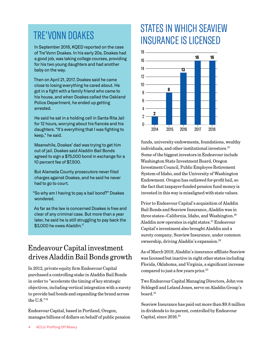## TRE'VONN DOAKES

In September 2018, KQED reported on the case of Tre'Vonn Doakes. In his early 20s, Doakes had a good job, was taking college courses, providing for his two young daughters and had another baby on the way.

Then on April 21, 2017, Doakes said he came close to losing everything he cared about. He got in a fight with a family friend who came to his house, and when Doakes called the Oakland Police Department, he ended up getting arrested.

He said he sat in a holding cell in Santa Rita Jail for 12 hours, worrying about his fiancée and his daughters. "It's everything that I was fighting to keep," he said.

Meanwhile, Doakes' dad was trying to get him out of jail. Doakes said Aladdin Bail Bonds agreed to sign a \$75,000 bond in exchange for a 10 percent fee of \$7,500.

But Alameda County prosecutors never filed charges against Doakes, and he said he never had to go to court.

"So why am I having to pay a bail bond?" Doakes wondered.

As far as the law is concerned Doakes is free and clear of any criminal case. But more than a year later, he said he is still struggling to pay back the \$3,000 he owes Aladdin.<sup>17</sup>

## Endeavour Capital investment drives Aladdin Bail Bonds growth

In 2012, private equity firm Endeavour Capital purchased a controlling stake in Aladdin Bail Bonds in order to "accelerate the timing of key strategic objectives, including vertical integration with a surety to provide bail bonds and expanding the brand across the U.S."18

Endeavour Capital, based in Portland, Oregon, manages billions of dollars on behalf of public pension

## STATES IN WHICH SEAVIEW INSURANCE IS LICENSED



funds, university endowments, foundations, wealthy individuals, and other institutional investors.19 Some of the biggest investors in Endeavour include Washington State Investment Board, Oregon Investment Council, Public Employee Retirement System of Idaho, and the University of Washington Endowment. Oregon has outlawed for-profit bail, so the fact that taxpayer-funded pension fund money is invested in this way is misaligned with state values.

Prior to Endeavour Capital's acquisition of Aladdin Bail Bonds and Seaview Insurance, Aladdin was in three states–California, Idaho, and Washington.<sup>20</sup> Aladdin now operates in eight states.<sup>21</sup> Endeavour Capital's investment also brought Aladdin and a surety company, Seaview Insurance, under common ownership, driving Aladdin's expansion.22

As of March 2019, Aladdin's insurance affiliate Seaview was licensed but inactive in eight other states including Florida, Oklahoma, and Virginia, a significant increase compared to just a few years prior.<sup>23</sup>

Two Endeavour Capital Managing Directors, John von Schlegell and Leland Jones, serve on Aladdin Group's board.<sup>24</sup>

Seaview Insurance has paid out more than \$9.8 million in dividends to its parent, controlled by Endeavour Capital, since 2016.25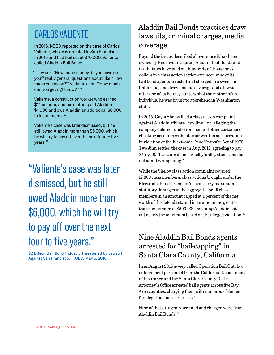## CARLOS VALIENTE

In 2016, KQED reported on the case of Carlos Valiente, who was arrested in San Francisco in 2015 and had bail set at \$70,000. Valiente called Aladdin Bail Bonds:

"They ask, 'How much money do you have on you?' really general questions about like, 'How much you make?'" Valiente said. "'How much can you get right now?'"26

Valiente, a construction worker who earned \$14 an hour, and his mother paid Aladdin \$1,000 and owe Aladdin an additional \$6,000 in installments.27

Valiente's case was later dismissed, but he still owed Aladdin more than \$6,000, which he will try to pay off over the next four to five years.<sup>28</sup>

"Valiente's case was later dismissed, but he still owed Aladdin more than \$6,000, which he will try to pay off over the next four to five years."

\$2 Billion Bail Bond Industry Threatened by Lawsuit Against San Francisco," KQED, May 6, 2016.

## Aladdin Bail Bonds practices draw lawsuits, criminal charges, media coverage

Beyond the issues described above, since it has been owned by Endeavour Capital, Aladdin Bail Bonds and its affiliates have paid out hundreds of thousands of dollars in a class action settlement, seen nine of its bail bond agents arrested and charged in a sweep in California, and drawn media coverage and a lawsuit after one of its bounty hunters shot the mother of an individual he was trying to apprehend in Washington state.

In 2015, Gayla Shelby filed a class action complaint against Aladdin affiliate Two Jinn, Inc. alleging the company debited funds from her and other customers' checking accounts without prior written authorization in violation of the Electronic Fund Transfer Act of 1978. Two Jinn settled the case in Aug. 2017, agreeing to pay \$457,000. Two Jinn denied Shelby's allegations and did not admit wrongdoing.29

While the Shelby class action complaint covered 17,300 class members, class actions brought under the Electronic Fund Transfer Act can carry maximum statutory damages in the aggregate for all class members in an amount capped at 1 percent of the net worth of the defendant, and in an amount no greater than a maximum of \$500,000, meaning Aladdin paid out nearly the maximum based on the alleged violation.30

## Nine Aladdin Bail Bonds agents arrested for "bail-capping" in Santa Clara County, California

In an August 2015 sweep called Operation Bail Out, law enforcement personnel from the California Department of Insurance and the Santa Clara County District Attorney's Office arrested bail agents across five Bay Area counties, charging them with numerous felonies for illegal business practices.31

Nine of the bail agents arrested and charged were from Aladdin Bail Bonds.32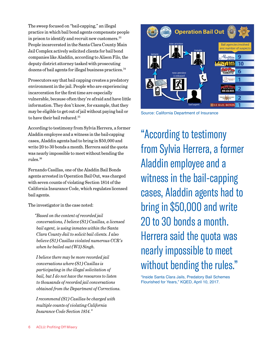The sweep focused on "bail-capping," an illegal practice in which bail bond agents compensate people in prison to identify and recruit new customers.<sup>33</sup> People incarcerated in the Santa Clara County Main Jail Complex actively solicited clients for bail bond companies like Aladdin, according to Alison Filo, the deputy district attorney tasked with prosecuting dozens of bail agents for illegal business practices.<sup>34</sup>

Prosecutors say that bail capping creates a predatory environment in the jail. People who are experiencing incarceration for the first time are especially vulnerable, because often they're afraid and have little information. They don't know, for example, that they may be eligible to get out of jail without paying bail or to have their bail reduced.<sup>35</sup>

According to testimony from Sylvia Herrera, a former Aladdin employee and a witness in the bail-capping cases, Aladdin agents had to bring in \$50,000 and write 20 to 30 bonds a month. Herrera said the quota was nearly impossible to meet without bending the rules.36

Fernando Casillas, one of the Aladdin Bail Bonds agents arrested in Operation Bail Out, was charged with seven counts of violating Section 1814 of the California Insurance Code, which regulates licensed bail agents.

The investigator in the case noted:

*"Based on the content of recorded jail conversations, I believe (S1) Casillas, a licensed bail agent, is using inmates within the Santa Clara County Jail to solicit bail clients. I also believe (S1) Casillas violated numerous CCR's when he bailed out (W3) Singh.*

*I believe there may be more recorded jail conversations where (S1) Casillas is participating in the illegal solicitation of bail, but I do not have the resources to listen to thousands of recorded jail conversations obtained from the Department of Corrections.*

*I recommend (S1) Casillas be charged with multiple counts of violating California Insurance Code Section 1814."*



Source: California Department of Insurance

"According to testimony from Sylvia Herrera, a former Aladdin employee and a witness in the bail-capping cases, Aladdin agents had to bring in \$50,000 and write 20 to 30 bonds a month. Herrera said the quota was nearly impossible to meet without bending the rules."

"Inside Santa Clara Jails, Predatory Bail Schemes Flourished for Years," KQED, April 10, 2017.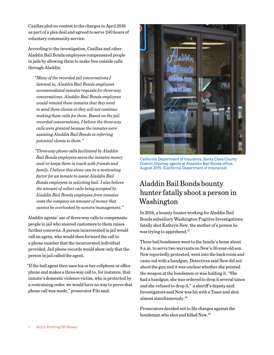Casillas pled no contest to the charges in April 2016 as part of a plea deal and agreed to serve 240 hours of voluntary community service.

According to the investigation, Casillas and other Aladdin Bail Bonds employees compensated people in jails by allowing them to make free outside calls through Aladdin:

*"Many of the recorded jail conversations I listened to, Aladdin Bail Bonds employees accommodated inmates requests for three-way conversations. Aladdin Bail Bonds employees would remind these inmates that they need to send them clients or they will not continue making these calls for them. Based on the jailrecorded conversations, I believe the three-way calls were granted because the inmates were assisting Aladdin Bail Bonds in referring potential clients to them."*

*"Three-way phone calls facilitated by Aladdin Bail Bonds employees saves the inmates money and/or keeps them in touch with friends and family. I believe this alone can be a motivating factor for an inmate to assist Aladdin Bail Bonds employees in soliciting bail. I also believe the amount of collect calls being accepted by Aladdin Bail Bonds employees from inmates costs the company an amount of money that cannot be overlooked by owners/management."*

Aladdin agents' use of three-way calls to compensate people in jail who steered customers to them raises further concerns. A person incarcerated in jail would call an agent, who would then forward the call to a phone number that the incarcerated individual provided. Jail phone records would show only that the person in jail called the agent.

"If the bail agent then uses his or her cellphone or office phone and makes a three-way call to, for instance, that inmate's domestic violence victim, who is protected by a restraining order, we would have no way to prove that phone call was made," prosecutor Filo said.



California Department of Insurance, Santa Clara County District Attorney agents at Alaaddin Bail Bonds office, August 2015. (California Department of Insurance)

### Aladdin Bail Bonds bounty hunter fatally shoot a person in Washington

In 2016, a bounty hunter working for Aladdin Bail Bonds subsidiary Washington Fugitive Investigations fatally shot Kathryn New, the mother of a person he was trying to apprehend.<sup>37</sup>

Three bail bondsmen went to the family's home about 8 a.m. to serve two warrants on New's 30-year-old son. New reportedly protested, went into the back room and came out with a handgun. Detectives said New did not shoot the gun and it was unclear whether she pointed the weapon at the bondsmen or was holding it. "She had a handgun, she was ordered to drop it several times and she refused to drop it," a sheriff's deputy said. Investigators said New was hit with a Taser and shot almost simultaneously.38

Prosecutors decided not to file charges against the bondsman who shot and killed New.39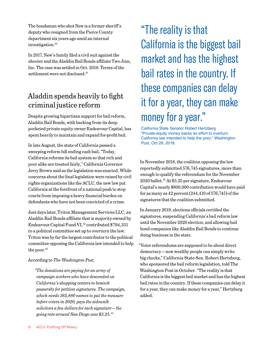The bondsman who shot New is a former sheriff's deputy who resigned from the Pierce County department six years ago amid an internal investigation.40

In 2017, New's family filed a civil suit against the shooter and the Aladdin Bail Bonds affiliate Two Jinn, Inc. The case was settled in Oct. 2018. Terms of the settlement were not disclosed.<sup>41</sup>

## Aladdin spends heavily to fight criminal justice reform

Despite growing bipartisan support for bail reform, Aladdin Bail Bonds, with backing from its deeppocketed private equity owner Endeavour Capital, has spent heavily to maintain and expand for-profit bail.

In late August, the state of California passed a sweeping reform bill ending cash bail. "Today, California reforms its bail system so that rich and poor alike are treated fairly," California Governor Jerry Brown said as the legislation was enacted. While concerns about the final legislation were raised by civil rights organizations like the ACLU, the new law put California at the forefront of a national push to stop courts from imposing a heavy financial burden on defendants who have not been convicted of a crime.

Just days later, Triton Management Services LLC, an Aladdin Bail Bonds affiliate that is majority-owned by Endeavour Capital Fund VI,<sup>42</sup> contributed \$794,331 to a political committee set up to overturn the law. Triton was by far the largest contributor to the political committee opposing the California law intended to help the poor.<sup>43</sup>

According to *The Washington Post*,

*"The donations are paying for an army of campaign workers who have descended on California's shopping centers to beseech passersby for petition signatures. The campaign, which needs 365,880 names to put the measure before voters in 2020, pays the sidewalk solicitors a few dollars for each signature — the going rate around San Diego was \$3.25.44*

"The reality is that California is the biggest bail market and has the highest bail rates in the country. If these companies can delay it for a year, they can make money for a year."

California State Senator Robert Hertzberg "Private-equity money backs an effort to overturn California law intended to help the poor," Washington Post, Oct 29, 2018.

In November 2018, the coalition opposing the law reportedly submitted 576,745 signatures, more than enough to qualify the referendum for the November 2020 ballot. 45 At \$3.25 per signature, Endeavour Capital's nearly \$800,000 contribution would have paid for as many as 42 percent (244,410 of 576,745) of the signatures that the coalition submitted.

In January 2019, elections officials certified the signatures, suspending California's bail reform law until the November 2020 election, and allowing bail bond companies like Aladdin Bail Bonds to continue doing business in the state.

"Voter referendums are supposed to be about direct democracy — now wealthy people can simply write big checks," California State Sen. Robert Hertzberg, who sponsored the bail reform legislation, told The Washington Post in October. "The reality is that California is the biggest bail market and has the highest bail rates in the country. If these companies can delay it for a year, they can make money for a year," Hertzberg added.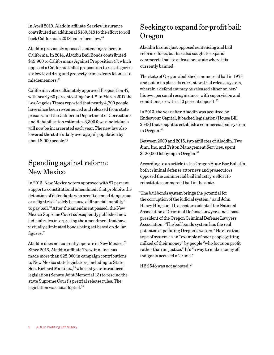In April 2019, Aladdin affiliate Seaview Insurance contributed an additional \$180,518 to the effort to roll back California's 2018 bail reform law.46

Aladdin previously opposed sentencing reform in California. In 2014, Aladdin Bail Bonds contributed \$49,900 to Californians Against Proposition 47, which opposed a California ballot proposition to re-categorize six low-level drug and property crimes from felonies to misdemeanors.47

California voters ultimately approved Proposition 47, with nearly 60 percent voting for it.<sup>48</sup> In March 2017 the Los Angeles Times reported that nearly 4,700 people have since been re-sentenced and released from state prisons, and the California Department of Corrections and Rehabilitation estimates 3,300 fewer individuals will now be incarcerated each year. The new law also lowered the state's daily average jail population by about  $8,000$  people.<sup>49</sup>

### Spending against reform: New Mexico

In 2016, New Mexico voters approved with 87 percent support a constitutional amendment that prohibits the detention of defendants who aren't deemed dangerous or a flight risk "solely because of financial inability" to pay bail.<sup>50</sup> After the amendment passed, the New Mexico Supreme Court subsequently published new judicial rules interpreting the amendment that have virtually eliminated bonds being set based on dollar figures. $51$ 

Aladdin does not currently operate in New Mexico.<sup>52</sup> Since 2016, Aladdin affiliate Two Jinn, Inc. has made more than \$22,000 in campaign contributions to New Mexico state legislators, including to State Sen. Richard Martinez,<sup>53</sup> who last year introduced legislation (Senate Joint Memorial 13) to rescind the state Supreme Court's pretrial release rules. The legislation was not adopted.<sup>54</sup>

## Seeking to expand for-profit bail: Oregon

Aladdin has not just opposed sentencing and bail reform efforts, but has also sought to expand commercial bail to at least one state where it is currently banned.

The state of Oregon abolished commercial bail in 1973 and put in its place its current pretrial release system, wherein a defendant may be released either on her/ his own personal recognizance, with supervision and conditions, or with a 10 percent deposit.<sup>55</sup>

In 2013, the year after Aladdin was acquired by Endeavour Capital, it backed legislation (House Bill 2548) that sought to establish a commercial bail system in Oregon.<sup>56</sup>

Between 2009 and 2015, two affiliates of Aladdin, Two Jinn, Inc. and Triton Management Services, spent \$420,000 lobbying in Oregon.<sup>57</sup>

According to an article in the Oregon State Bar Bulletin, both criminal defense attorneys and prosecutors opposed the commercial bail industry's effort to reinstitute commercial bail in the state.

"The bail bonds system brings the potential for the corruption of the judicial system," said John Henry Hingson III, a past president of the National Association of Criminal Defense Lawyers and a past president of the Oregon Criminal Defense Lawyers Association. "The bail bonds system has the real potential of polluting Oregon's waters." He cites that type of system as an "example of poor people getting milked of their money" by people "who focus on profit rather than on justice." It's "a way to make money off indigents accused of crime."

HB 2548 was not adopted.<sup>58</sup>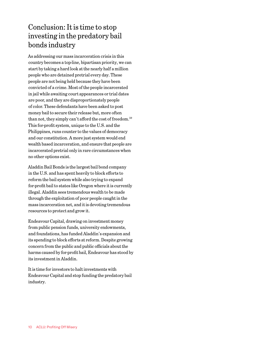## Conclusion: It is time to stop investing in the predatory bail bonds industry

As addressing our mass incarceration crisis in this country becomes a top-line, bipartisan priority, we can start by taking a hard look at the nearly half a million people who are detained pretrial every day. These people are not being held because they have been convicted of a crime. Most of the people incarcerated in jail while awaiting court appearances or trial dates are poor, and they are disproportionately people of color. These defendants have been asked to post money bail to secure their release but, more often than not, they simply can't afford the cost of freedom.59 This for-profit system, unique to the U.S. and the Philippines, runs counter to the values of democracy and our constitution. A more just system would end wealth based incarceration, and ensure that people are incarcerated pretrial only in rare circumstances when no other options exist.

Aladdin Bail Bonds is the largest bail bond company in the U.S. and has spent heavily to block efforts to reform the bail system while also trying to expand for-profit bail to states like Oregon where it is currently illegal. Aladdin sees tremendous wealth to be made through the exploitation of poor people caught in the mass incarceration net, and it is devoting tremendous resources to protect and grow it.

Endeavour Capital, drawing on investment money from public pension funds, university endowments, and foundations, has funded Aladdin's expansion and its spending to block efforts at reform. Despite growing concern from the public and public officials about the harms caused by for-profit bail, Endeavour has stood by its investment in Aladdin.

It is time for investors to halt investments with Endeavour Capital and stop funding the predatory bail industry.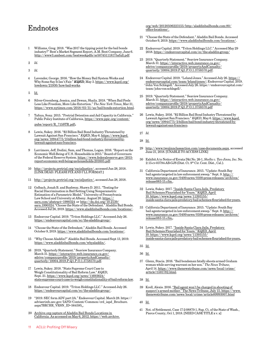#### Endnotes

- 1 Williams, Greg. 2018. "Was 2017 the tipping point for the bail bonds industry?" Best's Market Segment Report, A.M. Best Company, June 6. <http://www3.ambest.com/bestweekpdfs/sr507451118175afull.pdf>.
- 2 *Id.*
- 3 *Id.*
- 4 Lavender, George. 2016. "How the Money Bail System Works and Why Some Say It Isn't Fair." *KQED*, May 3. [https://www.kqed.org/](https://www.kqed.org/lowdown/21930/how-bail-works) [lowdown/21930/how-bail-works.](https://www.kqed.org/lowdown/21930/how-bail-works)
- 5 [Id.](https://www.kqed.org/lowdown/21930/how-bail-works)
- 6 Silver-Greenberg, Jessica, and Dewan, Shaila. 2018. "When Bail Feels Less Like Freedom, More Like Extortion." *The New York Times*, Mar 31, <https://www.nytimes.com/2018/03/31/us/bail-bonds-extortion.html>.
- 7 Tafoya, Sony. 2015. "Pretrial Detention and Jail Capacity in California." Public Policy Institute of California, [https://www.ppic.org/content/](https://www.ppic.org/content/pubs/report/R_715STR.pdf) [pubs/report/R\\_715STR.pdf](https://www.ppic.org/content/pubs/report/R_715STR.pdf)**.**
- 8 Lewis, Sukey. 2016. "\$2 Billion Bail Bond Industry Threatened by Lawsuit Against San Francisco." *KQED*, May 6. [https://www.kqed.](https://www.kqed.org/news/10944775/2-billion-bail-bond-industry-threatened-by-lawsuit-against-san-francisco) [org/news/10944775/2-billion-bail-bond-industry-threatened-by](https://www.kqed.org/news/10944775/2-billion-bail-bond-industry-threatened-by-lawsuit-against-san-francisco)[lawsuit-against-san-francisco.](https://www.kqed.org/news/10944775/2-billion-bail-bond-industry-threatened-by-lawsuit-against-san-francisco)
- Larrimore, Jeff, Dodini, Sam, and Thomas, Logan. 2016. "Report on the Economic Well-Being of U.S. Households in 2015." Board of Governors of the Federal Reserve System. [https://www.federalreserve.gov/2015](https://www.federalreserve.gov/2015-report-economic-well-being-us-households-201605.pdf) [report-economic-well-being-us-households-201605.pdf](https://www.federalreserve.gov/2015-report-economic-well-being-us-households-201605.pdf).
- 10 <http://projects.pretrial.org/racialjustice/>, accessed Jun 28, 2018. [LINK DEAD. PLEASE FIX AND I'LL FORMAT.]
- 11 <http://projects.pretrial.org/racialjustice/>, accessed Jun 28, 2018.
- 12 Gelbach, Jonah B. and Bushway, Shawn D. 2011. "Testing for Racial Discrimination in Bail Setting Using Nonparametric Estimation of a Parametric Model." University of Pennsylvania Law School and University at Albany. August 20. [https://](https://ssrn.com/abstract=1990324) [ssrn.com/abstract=1990324](https://ssrn.com/abstract=1990324) or [http://dx.doi.org/10.2139/](https://dx.doi.org/10.2139/ssrn.1990324) [ssrn.1990324](https://dx.doi.org/10.2139/ssrn.1990324)."Choose the State of the Defendant." Aladdin Bail Bonds. Accessed Jul 26, 2019. [https://www.aladdinbailbonds.com/locations/.](https://www.aladdinbailbonds.com/locations/)
- 13 Endeavour Capital. 2019. "Triton Holdings LLC." Accessed July 26. <https://endeavourcapital.com/ec/the-aladdin-group/>.
- 14 "Choose the State of the Defendant." Aladdin Bail Bonds. Accessed October 9, 2019.<https://www.aladdinbailbonds.com/locations/>.
- 15 "Why Choose Aladdin?" Aladdin Bail Bonds. Accessed Sept 13, 2019. <https://www.aladdinbailbonds.com/whyaladdin/>.
- 16 2019. "Quarterly Statement." Seaview Insurance Company. March 31. [https://interactive.web.insurance.ca.gov/](https://interactive.web.insurance.ca.gov/sdrive/companyprofile/2019/propertyAndCasualty/quarterly/10004.2019.P.Q1.P.O.1.3758570.pdf) [sdrive/companyprofile/2019/propertyAndCasualty/](https://interactive.web.insurance.ca.gov/sdrive/companyprofile/2019/propertyAndCasualty/quarterly/10004.2019.P.Q1.P.O.1.3758570.pdf) [quarterly/10004.2019.P.Q1.P.O.1.3758570.pdf](https://interactive.web.insurance.ca.gov/sdrive/companyprofile/2019/propertyAndCasualty/quarterly/10004.2019.P.Q1.P.O.1.3758570.pdf).
- 17 Lewis, Sukey. 2018. "State Supreme Court Case to Weigh Constitutionality of Bail Reform Law." *KQED*, Sept. 21. [https://www.kqed.org/news/11693624/](https://www.kqed.org/news/11693624/state-supreme-court-case-to-weigh-constitutionality-of-bail-reform-law) [state-supreme-court-case-to-weigh-constitutionality-of-bail-reform-law](https://www.kqed.org/news/11693624/state-supreme-court-case-to-weigh-constitutionality-of-bail-reform-law).
- 18 Endeavour Capital. 2019. "Triton Holdings LLC." Accessed July 26. <https://endeavourcapital.com/ec/the-aladdin-group/>.
- 19 "2019. SEC form ADV part 2A." Endeavour Capital. March 28. [https://](https://adviserinfo.sec.gov/IAPD/Content/Common/crd_iapd_Brochure.aspx?BRCHR_VRSN_ID=564595) [adviserinfo.sec.gov/IAPD/Content/Common/crd\\_iapd\\_Brochure.](https://adviserinfo.sec.gov/IAPD/Content/Common/crd_iapd_Brochure.aspx?BRCHR_VRSN_ID=564595) [aspx?BRCHR\\_VRSN\\_ID=564595.](https://adviserinfo.sec.gov/IAPD/Content/Common/crd_iapd_Brochure.aspx?BRCHR_VRSN_ID=564595) .
- 20 [Archive.org capture of Aladdin Bail Bonds Locations in](file:///Users/patrickmoroney%201/Dropbox/ACLU/Reports/Aladdin/../../../../../hannajohnson/Downloads/Archive.org capture of Aladdin Bail Bonds Locations in California. As accessed on May 6, 2012.)  [California. As accessed on May 6, 2012.](file:///Users/patrickmoroney%201/Dropbox/ACLU/Reports/Aladdin/../../../../../hannajohnson/Downloads/Archive.org capture of Aladdin Bail Bonds Locations in California. As accessed on May 6, 2012.) [https://web.archive.](https://web.archive.org/web/20120506223155/http:/aladdinbailbonds.com:80/office-locations/)
- 11 ACLU: Profiting Off Misery

[org/web/20120506223155/http:/aladdinbailbonds.com:80/](https://web.archive.org/web/20120506223155/http:/aladdinbailbonds.com:80/office-locations/) [office-locations/](https://web.archive.org/web/20120506223155/http:/aladdinbailbonds.com:80/office-locations/).

- 21 "Choose the State of the Defendant." Aladdin Bail Bonds. Accessed October 9, 2019.<https://www.aladdinbailbonds.com/locations/>.
- 22 Endeavour Capital. 2019. "Triton Holdings LLC." Accessed May 29 2018.<https://endeavourcapital.com/ec/the-aladdin-group/>
- 23 2019. "Quarterly Statement." Seaview Insurance Company. March 31. [https://interactive.web.insurance.ca.gov/](https://interactive.web.insurance.ca.gov/sdrive/companyprofile/2019/propertyAndCasualty/quarterly/10004.2019.P.Q1.P.O.1.3758570.pdf) [sdrive/companyprofile/2019/propertyAndCasualty/](https://interactive.web.insurance.ca.gov/sdrive/companyprofile/2019/propertyAndCasualty/quarterly/10004.2019.P.Q1.P.O.1.3758570.pdf) [quarterly/10004.2019.P.Q1.P.O.1.3758570.pdf](https://interactive.web.insurance.ca.gov/sdrive/companyprofile/2019/propertyAndCasualty/quarterly/10004.2019.P.Q1.P.O.1.3758570.pdf).
- 24 Endeavour Capital. 2019. "Leland Jones." Accessed July 26. [https://](https://endeavourcapital.com/team/leland-jones/) [endeavourcapital.com/team/leland-jones/](https://endeavourcapital.com/team/leland-jones/); Endeavour Capital. 2019. "John Von Schlegell." Accessed July 26. https://endeavourcapital.com/ team/john-von-schlegell/.
- 25 2019. "Quarterly Statement." Seaview Insurance Company. March 31. [https://interactive.web.insurance.ca.gov/](https://interactive.web.insurance.ca.gov/sdrive/companyprofile/2019/propertyAndCasualty/quarterly/10004.2019.P.Q1.P.O.1.3758570.pdf) [sdrive/companyprofile/2019/propertyAndCasualty/](https://interactive.web.insurance.ca.gov/sdrive/companyprofile/2019/propertyAndCasualty/quarterly/10004.2019.P.Q1.P.O.1.3758570.pdf) [quarterly/10004.2019.P.Q1.P.O.1.3758570.pdf](https://interactive.web.insurance.ca.gov/sdrive/companyprofile/2019/propertyAndCasualty/quarterly/10004.2019.P.Q1.P.O.1.3758570.pdf)
- 26 Lewis, Sukey. 2016. "\$2 Billion Bail Bond Industry Threatened by Lawsuit Against San Francisco." *KQED*, May 6. [https://www.kqed.](https://www.kqed.org/news/10944775/2-billion-bail-bond-industry-threatened-by-lawsuit-against-san-francisco) [org/news/10944775/2-billion-bail-bond-industry-threatened-by](https://www.kqed.org/news/10944775/2-billion-bail-bond-industry-threatened-by-lawsuit-against-san-francisco)[lawsuit-against-san-francisco.](https://www.kqed.org/news/10944775/2-billion-bail-bond-industry-threatened-by-lawsuit-against-san-francisco)
- 27 *Id.*
- 28 [Id.](https://www.kqed.org/news/10944775/2-billion-bail-bond-industry-threatened-by-lawsuit-against-san-francisco)
- 29 [http://www.twojinnclassaction.com/case-documents.aspx,](http://www.twojinnclassaction.com/case-documents.aspx) accessed June 21, 2018. [UNABLE TO ACCESS LINK]
- 30 Exhibit A to Notice of Errata Dkt No. 26-1, *Shelby v. Two Jinns, Inc.* No. 2:15-cv-03794-AB-GJS (Dist. Ct. 9th Cir. Cent. Dist., Cal.).
- 31 California Department of Insurance. 2015. "Update: South Bay bail agents targeted in law enforcement sweep." Sept. 9. [http://](http://www.insurance.ca.gov/0400-news/0100-press-releases/archives/release083-15.cfm) [www.insurance.ca.gov/0400-news/0100-press-releases/archives/](http://www.insurance.ca.gov/0400-news/0100-press-releases/archives/release083-15.cfm) [release083-15.cfm](http://www.insurance.ca.gov/0400-news/0100-press-releases/archives/release083-15.cfm)..
- 32 Lewis, Sukey. 2017. ["Inside Santa Clara Jails, Predatory](https://www.kqed.org/news/11393155/inside-santa-clara-jails-predatory-bail-schemes-flourished-for-years)  [Bail Schemes Flourished for Years." KQED, April](https://www.kqed.org/news/11393155/inside-santa-clara-jails-predatory-bail-schemes-flourished-for-years)  [10. https://www.kqed.org/news/11393155/](https://www.kqed.org/news/11393155/inside-santa-clara-jails-predatory-bail-schemes-flourished-for-years) [inside-santa-clara-jails-predatory-bail-schemes-flourished-for-years.](https://www.kqed.org/news/11393155/inside-santa-clara-jails-predatory-bail-schemes-flourished-for-years)
- 33 California Department of Insurance. 2015. "Update: South Bay bail agents targeted in law enforcement sweep." Sept. 9. [http://](http://www.insurance.ca.gov/0400-news/0100-press-releases/archives/release083-15.cfm) [www.insurance.ca.gov/0400-news/0100-press-releases/archives/](http://www.insurance.ca.gov/0400-news/0100-press-releases/archives/release083-15.cfm) [release083-15.cfm](http://www.insurance.ca.gov/0400-news/0100-press-releases/archives/release083-15.cfm)**.**.
- 34 Lewis, Sukey. 2017. "Inside Santa Clara Jails, Predatory [Bail Schemes Flourished for Years." KQED, April](https://www.kqed.org/news/11393155/inside-santa-clara-jails-predatory-bail-schemes-flourished-for-years)  [10. https://www.kqed.org/news/11393155/](https://www.kqed.org/news/11393155/inside-santa-clara-jails-predatory-bail-schemes-flourished-for-years) [inside-santa-clara-jails-predatory-bail-schemes-flourished-for-years](https://www.kqed.org/news/11393155/inside-santa-clara-jails-predatory-bail-schemes-flourished-for-years)**.**
- 35 [Id.](https://www.kqed.org/news/11393155/inside-santa-clara-jails-predatory-bail-schemes-flourished-for-years)
- 36 [Id.](https://www.kqed.org/news/11393155/inside-santa-clara-jails-predatory-bail-schemes-flourished-for-years)
- 37 Glenn, Stacia. 2016. "Bail bondsman fatally shoots armed Graham woman while serving warrant on her son." *The News Tribune*, April 14. [https://www.thenewstribune.com/news/local/crime/](https://www.thenewstribune.com/news/local/crime/article71581782.html) [article71581782.html.](https://www.thenewstribune.com/news/local/crime/article71581782.html)
- 38 [Id.](https://www.thenewstribune.com/news/local/crime/article71581782.html)
- 39 Krell, Alexis. 2016. ["Bail agent won't be charged in shooting of](https://www.thenewstribune.com/news/local/crime/article89993007.html)  [suspect's armed mother." The News Tribune, July 15. https://www.](https://www.thenewstribune.com/news/local/crime/article89993007.html) [thenewstribune.com/news/local/crime/article89993007.html](https://www.thenewstribune.com/news/local/crime/article89993007.html)

40 [Id.](https://www.thenewstribune.com/news/local/crime/article89993007.html)

41 Not. of Settlement, Case 17-2-08870-1, Sup. Ct. of the State of Wash., Pierce County, Oct 1, 2018. [NEED CASE TITLE x v. x]